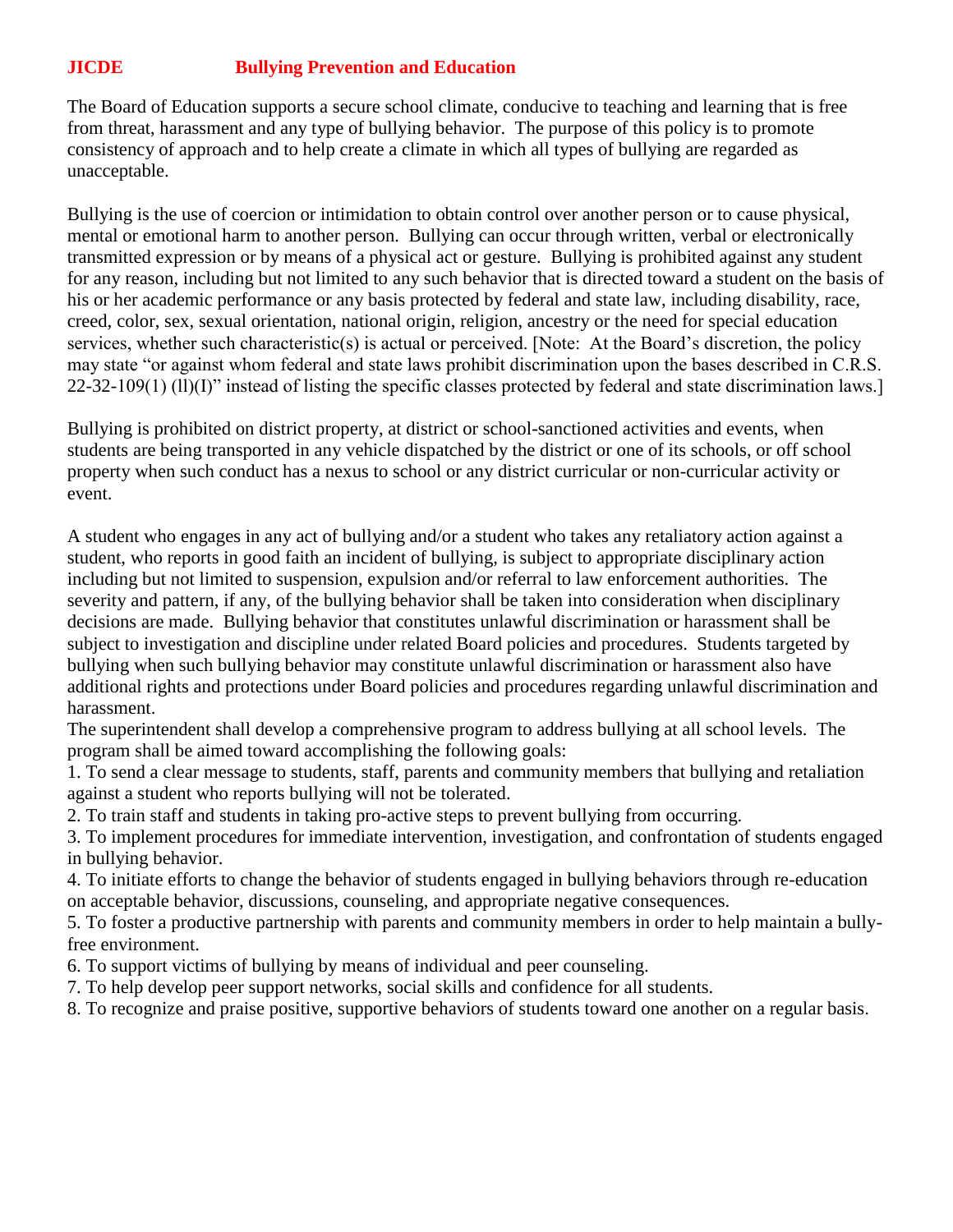## **JICDE Bullying Prevention and Education**

The Board of Education supports a secure school climate, conducive to teaching and learning that is free from threat, harassment and any type of bullying behavior. The purpose of this policy is to promote consistency of approach and to help create a climate in which all types of bullying are regarded as unacceptable.

Bullying is the use of coercion or intimidation to obtain control over another person or to cause physical, mental or emotional harm to another person. Bullying can occur through written, verbal or electronically transmitted expression or by means of a physical act or gesture. Bullying is prohibited against any student for any reason, including but not limited to any such behavior that is directed toward a student on the basis of his or her academic performance or any basis protected by federal and state law, including disability, race, creed, color, sex, sexual orientation, national origin, religion, ancestry or the need for special education services, whether such characteristic(s) is actual or perceived. [Note: At the Board's discretion, the policy may state "or against whom federal and state laws prohibit discrimination upon the bases described in C.R.S. 22-32-109(1) (ll)(I)" instead of listing the specific classes protected by federal and state discrimination laws.]

Bullying is prohibited on district property, at district or school-sanctioned activities and events, when students are being transported in any vehicle dispatched by the district or one of its schools, or off school property when such conduct has a nexus to school or any district curricular or non-curricular activity or event.

A student who engages in any act of bullying and/or a student who takes any retaliatory action against a student, who reports in good faith an incident of bullying, is subject to appropriate disciplinary action including but not limited to suspension, expulsion and/or referral to law enforcement authorities. The severity and pattern, if any, of the bullying behavior shall be taken into consideration when disciplinary decisions are made. Bullying behavior that constitutes unlawful discrimination or harassment shall be subject to investigation and discipline under related Board policies and procedures. Students targeted by bullying when such bullying behavior may constitute unlawful discrimination or harassment also have additional rights and protections under Board policies and procedures regarding unlawful discrimination and harassment.

The superintendent shall develop a comprehensive program to address bullying at all school levels. The program shall be aimed toward accomplishing the following goals:

1. To send a clear message to students, staff, parents and community members that bullying and retaliation against a student who reports bullying will not be tolerated.

2. To train staff and students in taking pro-active steps to prevent bullying from occurring.

3. To implement procedures for immediate intervention, investigation, and confrontation of students engaged in bullying behavior.

4. To initiate efforts to change the behavior of students engaged in bullying behaviors through re-education on acceptable behavior, discussions, counseling, and appropriate negative consequences.

5. To foster a productive partnership with parents and community members in order to help maintain a bullyfree environment.

6. To support victims of bullying by means of individual and peer counseling.

7. To help develop peer support networks, social skills and confidence for all students.

8. To recognize and praise positive, supportive behaviors of students toward one another on a regular basis.